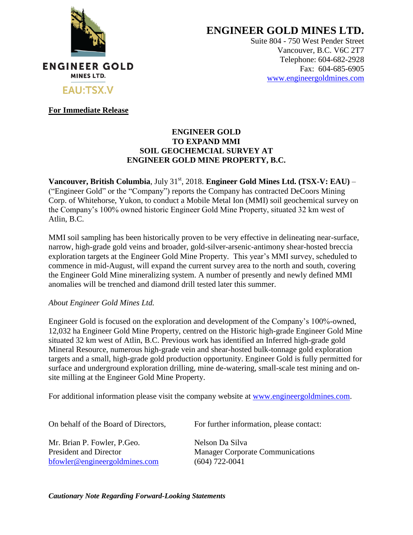

**ENGINEER GOLD MINES LTD.**

Suite 804 - 750 West Pender Street Vancouver, B.C. V6C 2T7 Telephone: 604-682-2928 Fax: 604-685-6905 [www.engineergoldmines.com](../../../AppData/Local/Microsoft/Windows/Temporary%20Internet%20Files/Content.Outlook/RLQM2AKD/www.engineergoldmines.com)

**For Immediate Release**

## **ENGINEER GOLD TO EXPAND MMI SOIL GEOCHEMCIAL SURVEY AT ENGINEER GOLD MINE PROPERTY, B.C.**

**Vancouver, British Columbia**, July 31<sup>st</sup>, 2018. **Engineer Gold Mines Ltd. (TSX-V: EAU)** – ("Engineer Gold" or the "Company") reports the Company has contracted DeCoors Mining Corp. of Whitehorse, Yukon, to conduct a Mobile Metal Ion (MMI) soil geochemical survey on the Company's 100% owned historic Engineer Gold Mine Property, situated 32 km west of Atlin, B.C.

MMI soil sampling has been historically proven to be very effective in delineating near-surface, narrow, high-grade gold veins and broader, gold-silver-arsenic-antimony shear-hosted breccia exploration targets at the Engineer Gold Mine Property. This year's MMI survey, scheduled to commence in mid-August, will expand the current survey area to the north and south, covering the Engineer Gold Mine mineralizing system. A number of presently and newly defined MMI anomalies will be trenched and diamond drill tested later this summer.

## *About Engineer Gold Mines Ltd.*

Engineer Gold is focused on the exploration and development of the Company's 100%-owned, 12,032 ha Engineer Gold Mine Property, centred on the Historic high-grade Engineer Gold Mine situated 32 km west of Atlin, B.C. Previous work has identified an Inferred high-grade gold Mineral Resource, numerous high-grade vein and shear-hosted bulk-tonnage gold exploration targets and a small, high-grade gold production opportunity. Engineer Gold is fully permitted for surface and underground exploration drilling, mine de-watering, small-scale test mining and onsite milling at the Engineer Gold Mine Property.

For additional information please visit the company website at [www.engineergoldmines.com.](http://www.blindcreekresources.com/)

On behalf of the Board of Directors, For further information, please contact:

Mr. Brian P. Fowler, P. Geo. Nelson Da Silva

[bfowler@engineergoldmines.com](../Administrative/bfowler@engineergoldmines.com) (604) 722-0041

President and Director Manager Corporate Communications

*Cautionary Note Regarding Forward-Looking Statements*